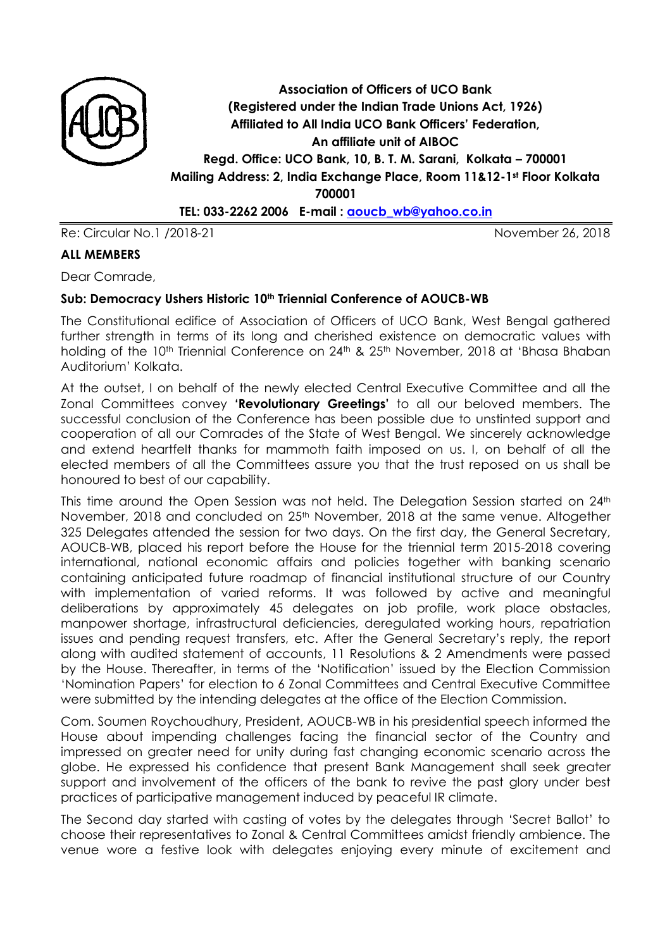

**Association of Officers of UCO Bank (Registered under the Indian Trade Unions Act, 1926) Affiliated to All India UCO Bank Officers' Federation, An affiliate unit of AIBOC Regd. Office: UCO Bank, 10, B. T. M. Sarani, Kolkata – 700001 Mailing Address: 2, India Exchange Place, Room 11&12-1st Floor Kolkata 700001**

**TEL: 033-2262 2006 E-mail : [aoucb\\_wb@yahoo.co.in](mailto:aoucb_wb@yahoo.co.in)**

Re: Circular No.1 /2018-21 November 26, 2018

#### **ALL MEMBERS**

Dear Comrade,

#### **Sub: Democracy Ushers Historic 10th Triennial Conference of AOUCB-WB**

The Constitutional edifice of Association of Officers of UCO Bank, West Bengal gathered further strength in terms of its long and cherished existence on democratic values with holding of the 10<sup>th</sup> Triennial Conference on 24<sup>th</sup> & 25<sup>th</sup> November, 2018 at 'Bhasa Bhaban Auditorium' Kolkata.

At the outset, I on behalf of the newly elected Central Executive Committee and all the Zonal Committees convey **'Revolutionary Greetings'** to all our beloved members. The successful conclusion of the Conference has been possible due to unstinted support and cooperation of all our Comrades of the State of West Bengal. We sincerely acknowledge and extend heartfelt thanks for mammoth faith imposed on us. I, on behalf of all the elected members of all the Committees assure you that the trust reposed on us shall be honoured to best of our capability.

This time around the Open Session was not held. The Delegation Session started on 24<sup>th</sup> November, 2018 and concluded on 25<sup>th</sup> November, 2018 at the same venue. Altogether 325 Delegates attended the session for two days. On the first day, the General Secretary, AOUCB-WB, placed his report before the House for the triennial term 2015-2018 covering international, national economic affairs and policies together with banking scenario containing anticipated future roadmap of financial institutional structure of our Country with implementation of varied reforms. It was followed by active and meaningful deliberations by approximately 45 delegates on job profile, work place obstacles, manpower shortage, infrastructural deficiencies, deregulated working hours, repatriation issues and pending request transfers, etc. After the General Secretary's reply, the report along with audited statement of accounts, 11 Resolutions & 2 Amendments were passed by the House. Thereafter, in terms of the 'Notification' issued by the Election Commission 'Nomination Papers' for election to 6 Zonal Committees and Central Executive Committee were submitted by the intending delegates at the office of the Election Commission.

Com. Soumen Roychoudhury, President, AOUCB-WB in his presidential speech informed the House about impending challenges facing the financial sector of the Country and impressed on greater need for unity during fast changing economic scenario across the globe. He expressed his confidence that present Bank Management shall seek greater support and involvement of the officers of the bank to revive the past glory under best practices of participative management induced by peaceful IR climate.

The Second day started with casting of votes by the delegates through 'Secret Ballot' to choose their representatives to Zonal & Central Committees amidst friendly ambience. The venue wore a festive look with delegates enjoying every minute of excitement and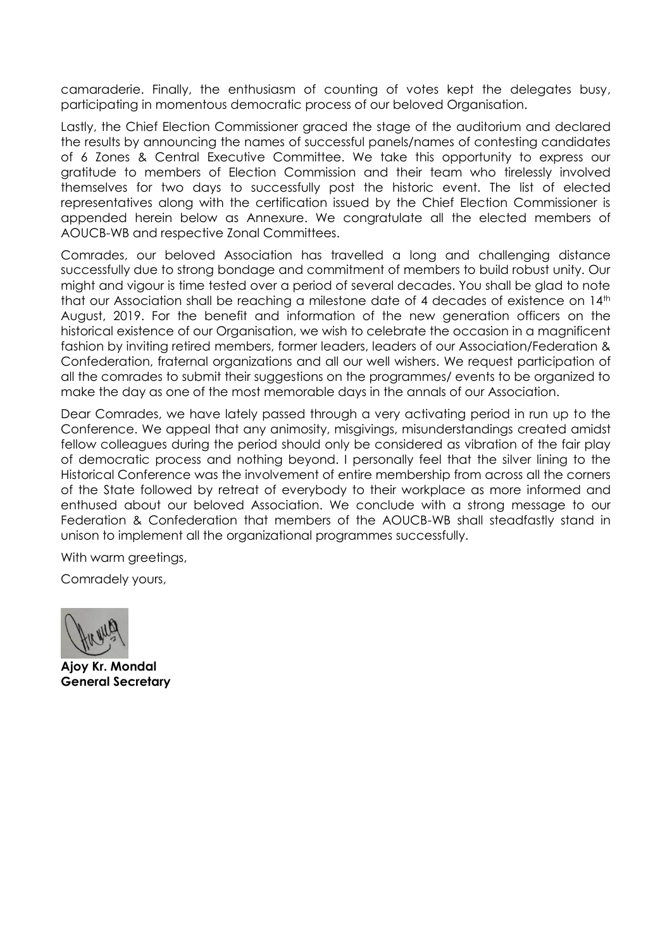camaraderie. Finally, the enthusiasm of counting of votes kept the delegates busy, participating in momentous democratic process of our beloved Organisation.

Lastly, the Chief Election Commissioner graced the stage of the auditorium and declared the results by announcing the names of successful panels/names of contesting candidates of 6 Zones & Central Executive Committee. We take this opportunity to express our gratitude to members of Election Commission and their team who tirelessly involved themselves for two days to successfully post the historic event. The list of elected representatives along with the certification issued by the Chief Election Commissioner is appended herein below as Annexure. We congratulate all the elected members of AOUCB-WB and respective Zonal Committees.

Comrades, our beloved Association has travelled a long and challenging distance successfully due to strong bondage and commitment of members to build robust unity. Our might and vigour is time tested over a period of several decades. You shall be glad to note that our Association shall be reaching a milestone date of 4 decades of existence on 14th August, 2019. For the benefit and information of the new generation officers on the historical existence of our Organisation, we wish to celebrate the occasion in a magnificent fashion by inviting retired members, former leaders, leaders of our Association/Federation & Confederation, fraternal organizations and all our well wishers. We request participation of all the comrades to submit their suggestions on the programmes/ events to be organized to make the day as one of the most memorable days in the annals of our Association.

Dear Comrades, we have lately passed through a very activating period in run up to the Conference. We appeal that any animosity, misgivings, misunderstandings created amidst fellow colleagues during the period should only be considered as vibration of the fair play of democratic process and nothing beyond. I personally feel that the silver lining to the Historical Conference was the involvement of entire membership from across all the corners of the State followed by retreat of everybody to their workplace as more informed and enthused about our beloved Association. We conclude with a strong message to our Federation & Confederation that members of the AOUCB-WB shall steadfastly stand in unison to implement all the organizational programmes successfully.

With warm greetings,

Comradely yours,

**Ajoy Kr. Mondal General Secretary**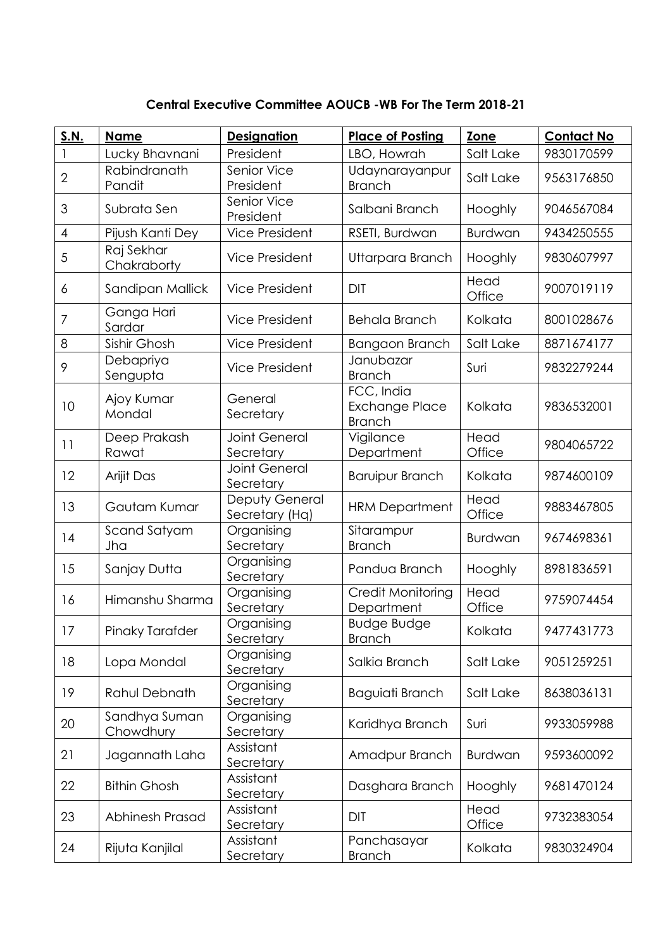**Central Executive Committee AOUCB -WB For The Term 2018-21**

| <b>S.N.</b>    | <b>Name</b>                | <b>Designation</b>                | <b>Place of Posting</b>                              | Zone           | <b>Contact No</b> |
|----------------|----------------------------|-----------------------------------|------------------------------------------------------|----------------|-------------------|
|                | Lucky Bhavnani             | President                         | LBO, Howrah                                          | Salt Lake      | 9830170599        |
| $\overline{2}$ | Rabindranath<br>Pandit     | Senior Vice<br>President          | Udaynarayanpur<br><b>Branch</b>                      | Salt Lake      | 9563176850        |
| 3              | Subrata Sen                | Senior Vice<br>President          | Salbani Branch                                       | Hooghly        | 9046567084        |
| $\overline{4}$ | Pijush Kanti Dey           | <b>Vice President</b>             | RSETI, Burdwan                                       | <b>Burdwan</b> | 9434250555        |
| 5              | Raj Sekhar<br>Chakraborty  | <b>Vice President</b>             | Uttarpara Branch                                     | Hooghly        | 9830607997        |
| 6              | Sandipan Mallick           | <b>Vice President</b>             | <b>DIT</b>                                           | Head<br>Office | 9007019119        |
| $\overline{7}$ | Ganga Hari<br>Sardar       | <b>Vice President</b>             | <b>Behala Branch</b>                                 | Kolkata        | 8001028676        |
| 8              | Sishir Ghosh               | <b>Vice President</b>             | Bangaon Branch                                       | Salt Lake      | 8871674177        |
| 9              | Debapriya<br>Sengupta      | <b>Vice President</b>             | Janubazar<br><b>Branch</b>                           | Suri           | 9832279244        |
| 10             | Ajoy Kumar<br>Mondal       | General<br>Secretary              | FCC, India<br><b>Exchange Place</b><br><b>Branch</b> | Kolkata        | 9836532001        |
| 11             | Deep Prakash<br>Rawat      | <b>Joint General</b><br>Secretary | Vigilance<br>Department                              | Head<br>Office | 9804065722        |
| 12             | Arijit Das                 | <b>Joint General</b><br>Secretary | <b>Baruipur Branch</b>                               | Kolkata        | 9874600109        |
| 13             | Gautam Kumar               | Deputy General<br>Secretary (Hq)  | <b>HRM Department</b>                                | Head<br>Office | 9883467805        |
| 14             | Scand Satyam<br>Jha        | Organising<br>Secretary           | Sitarampur<br><b>Branch</b>                          | <b>Burdwan</b> | 9674698361        |
| 15             | Sanjay Dutta               | Organising<br>Secretary           | Pandua Branch                                        | Hooghly        | 8981836591        |
| 16             | Himanshu Sharma            | Organising<br>Secretary           | Credit Monitoring<br>Department                      | Head<br>Office | 9759074454        |
| 17             | Pinaky Tarafder            | Organising<br>Secretary           | <b>Budge Budge</b><br><b>Branch</b>                  | Kolkata        | 9477431773        |
| 18             | Lopa Mondal                | Organising<br>Secretary           | Salkia Branch                                        | Salt Lake      | 9051259251        |
| 19             | Rahul Debnath              | Organising<br>Secretary           | Baguiati Branch                                      | Salt Lake      | 8638036131        |
| 20             | Sandhya Suman<br>Chowdhury | Organising<br>Secretary           | Karidhya Branch                                      | Suri           | 9933059988        |
| 21             | Jagannath Laha             | Assistant<br>Secretary            | Amadpur Branch                                       | <b>Burdwan</b> | 9593600092        |
| 22             | <b>Bithin Ghosh</b>        | Assistant<br>Secretary            | Dasghara Branch                                      | Hooghly        | 9681470124        |
| 23             | Abhinesh Prasad            | Assistant<br>Secretary            | <b>DIT</b>                                           | Head<br>Office | 9732383054        |
| 24             | Rijuta Kanjilal            | Assistant<br>Secretary            | Panchasayar<br><b>Branch</b>                         | Kolkata        | 9830324904        |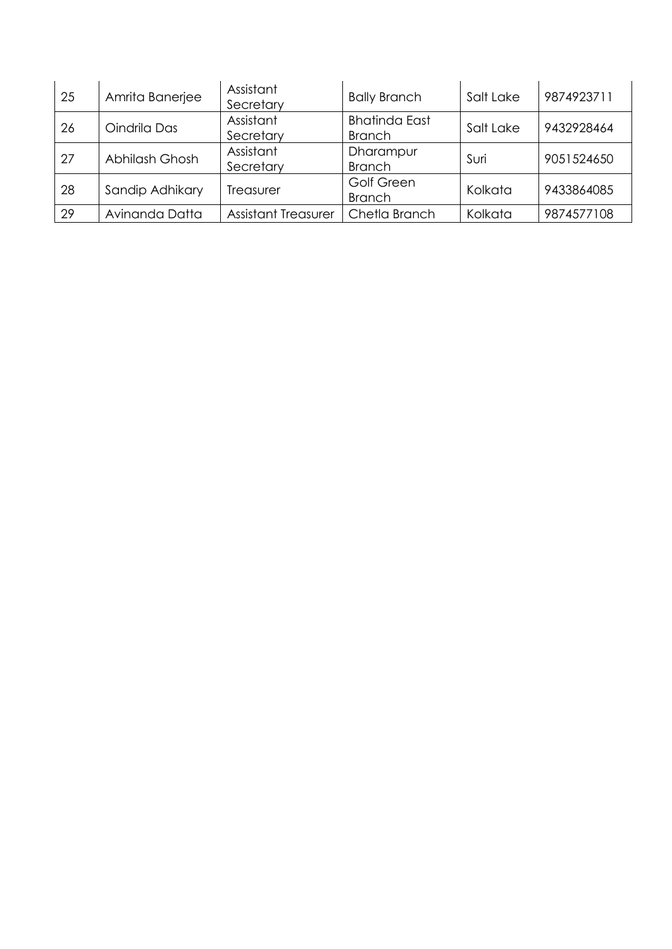| 25 | Amrita Banerjee | Assistant<br>Secretary     | <b>Bally Branch</b>                   | Salt Lake | 9874923711 |
|----|-----------------|----------------------------|---------------------------------------|-----------|------------|
| 26 | Oindrila Das    | Assistant<br>Secretary     | <b>Bhatinda East</b><br><b>Branch</b> | Salt Lake | 9432928464 |
| 27 | Abhilash Ghosh  | Assistant<br>Secretary     | Dharampur<br><b>Branch</b>            | Suri      | 9051524650 |
| 28 | Sandip Adhikary | Treasurer                  | Golf Green<br><b>Branch</b>           | Kolkata   | 9433864085 |
| 29 | Avinanda Datta  | <b>Assistant Treasurer</b> | Chetla Branch                         | Kolkata   | 9874577108 |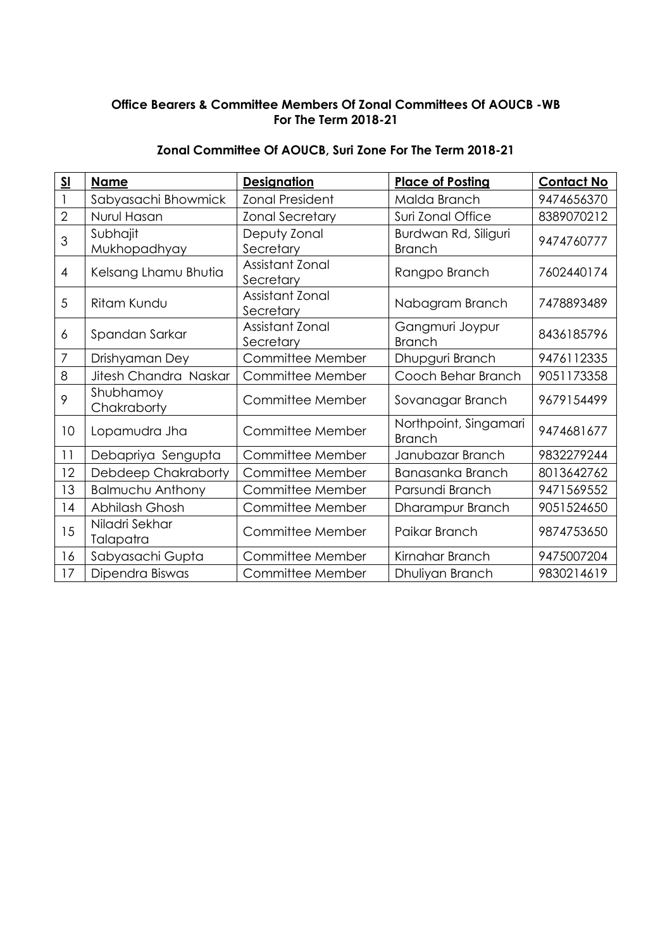### **Office Bearers & Committee Members Of Zonal Committees Of AOUCB -WB For The Term 2018-21**

| $\underline{\mathsf{SL}}$ | <b>Name</b>                 | <b>Designation</b>           | <b>Place of Posting</b>                | <b>Contact No</b> |
|---------------------------|-----------------------------|------------------------------|----------------------------------------|-------------------|
|                           | Sabyasachi Bhowmick         | <b>Zonal President</b>       | Malda Branch                           | 9474656370        |
| $\overline{2}$            | Nurul Hasan                 | <b>Zonal Secretary</b>       | Suri Zonal Office                      | 8389070212        |
| 3                         | Subhajit<br>Mukhopadhyay    | Deputy Zonal<br>Secretary    | Burdwan Rd, Siliguri<br><b>Branch</b>  | 9474760777        |
| 4                         | Kelsang Lhamu Bhutia        | Assistant Zonal<br>Secretary | Rangpo Branch                          | 7602440174        |
| 5                         | <b>Ritam Kundu</b>          | Assistant Zonal<br>Secretary | Nabagram Branch                        | 7478893489        |
| 6                         | Spandan Sarkar              | Assistant Zonal<br>Secretary | Gangmuri Joypur<br><b>Branch</b>       | 8436185796        |
| $\overline{7}$            | Drishyaman Dey              | Committee Member             | Dhupguri Branch                        | 9476112335        |
| 8                         | Jitesh Chandra Naskar       | Committee Member             | Cooch Behar Branch                     | 9051173358        |
| 9                         | Shubhamoy<br>Chakraborty    | Committee Member             | Sovanagar Branch                       | 9679154499        |
| 10                        | Lopamudra Jha               | Committee Member             | Northpoint, Singamari<br><b>Branch</b> | 9474681677        |
| 11                        | Debapriya Sengupta          | Committee Member             | Janubazar Branch                       | 9832279244        |
| 12                        | Debdeep Chakraborty         | Committee Member             | Banasanka Branch                       | 8013642762        |
| 13                        | <b>Balmuchu Anthony</b>     | Committee Member             | Parsundi Branch                        | 9471569552        |
| 14                        | Abhilash Ghosh              | Committee Member             | Dharampur Branch                       | 9051524650        |
| 15                        | Niladri Sekhar<br>Talapatra | Committee Member             | Paikar Branch                          | 9874753650        |
| 16                        | Sabyasachi Gupta            | Committee Member             | Kirnahar Branch                        | 9475007204        |
| 17                        | Dipendra Biswas             | Committee Member             | Dhuliyan Branch                        | 9830214619        |

### **Zonal Committee Of AOUCB, Suri Zone For The Term 2018-21**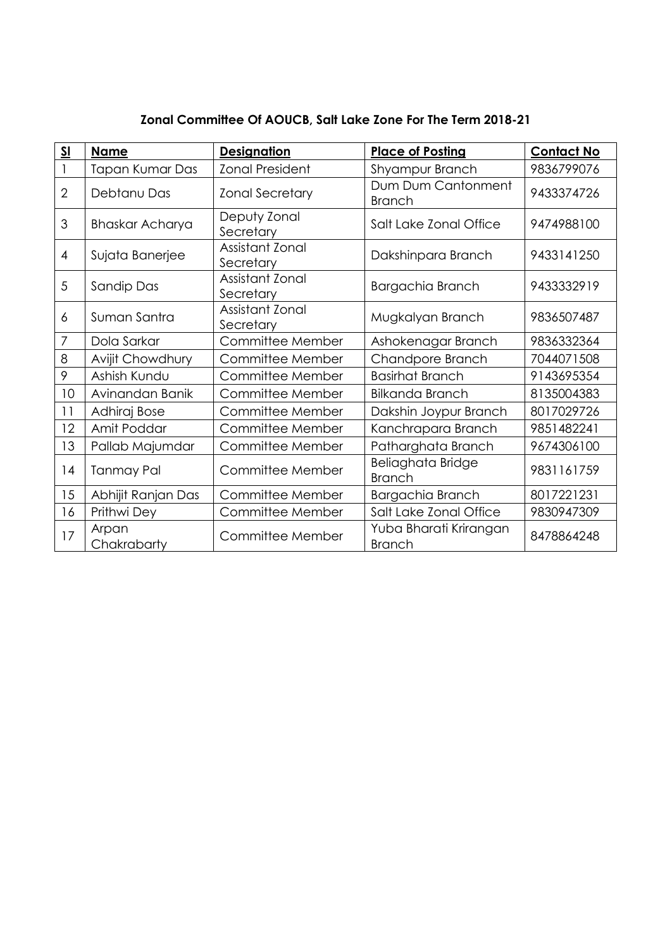| $\underline{\mathsf{SL}}$ | <b>Name</b>          | <b>Designation</b>           | <b>Place of Posting</b>                 | <b>Contact No</b> |
|---------------------------|----------------------|------------------------------|-----------------------------------------|-------------------|
|                           | Tapan Kumar Das      | <b>Zonal President</b>       | Shyampur Branch                         | 9836799076        |
| $\overline{2}$            | Debtanu Das          | <b>Zonal Secretary</b>       | Dum Dum Cantonment<br><b>Branch</b>     | 9433374726        |
| 3                         | Bhaskar Acharya      | Deputy Zonal<br>Secretary    | Salt Lake Zonal Office                  | 9474988100        |
| $\overline{4}$            | Sujata Banerjee      | Assistant Zonal<br>Secretary | Dakshinpara Branch                      | 9433141250        |
| 5                         | Sandip Das           | Assistant Zonal<br>Secretary | Bargachia Branch                        | 9433332919        |
| 6                         | Suman Santra         | Assistant Zonal<br>Secretary | Mugkalyan Branch                        | 9836507487        |
| 7                         | Dola Sarkar          | Committee Member             | Ashokenagar Branch                      | 9836332364        |
| 8                         | Avijit Chowdhury     | Committee Member             | Chandpore Branch                        | 7044071508        |
| 9                         | Ashish Kundu         | Committee Member             | <b>Basirhat Branch</b>                  | 9143695354        |
| 10                        | Avinandan Banik      | Committee Member             | <b>Bilkanda Branch</b>                  | 8135004383        |
| 11                        | Adhiraj Bose         | Committee Member             | Dakshin Joypur Branch                   | 8017029726        |
| 12                        | Amit Poddar          | Committee Member             | Kanchrapara Branch                      | 9851482241        |
| 13                        | Pallab Majumdar      | Committee Member             | Patharghata Branch                      | 9674306100        |
| 4                         | <b>Tanmay Pal</b>    | Committee Member             | Beliaghata Bridge<br><b>Branch</b>      | 9831161759        |
| 15                        | Abhijit Ranjan Das   | Committee Member             | Bargachia Branch                        | 8017221231        |
| 16                        | Prithwi Dey          | Committee Member             | Salt Lake Zonal Office                  | 9830947309        |
| 17                        | Arpan<br>Chakrabarty | Committee Member             | Yuba Bharati Krirangan<br><b>Branch</b> | 8478864248        |

# **Zonal Committee Of AOUCB, Salt Lake Zone For The Term 2018-21**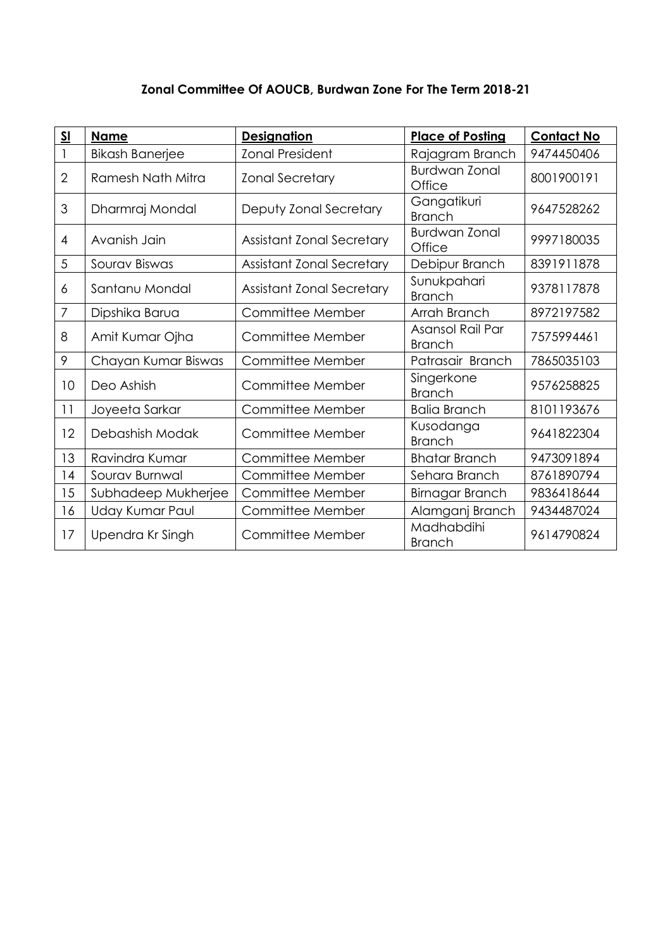## **Zonal Committee Of AOUCB, Burdwan Zone For The Term 2018-21**

| $\underline{\underline{\mathsf{SI}}}$ | <b>Name</b>            | <b>Designation</b>               | <b>Place of Posting</b>           | <b>Contact No</b> |
|---------------------------------------|------------------------|----------------------------------|-----------------------------------|-------------------|
|                                       | <b>Bikash Banerjee</b> | <b>Zonal President</b>           | Rajagram Branch                   | 9474450406        |
| $\overline{2}$                        | Ramesh Nath Mitra      | <b>Zonal Secretary</b>           | <b>Burdwan Zonal</b><br>Office    | 8001900191        |
| 3                                     | Dharmraj Mondal        | Deputy Zonal Secretary           | Gangatikuri<br><b>Branch</b>      | 9647528262        |
| $\overline{4}$                        | Avanish Jain           | <b>Assistant Zonal Secretary</b> | <b>Burdwan Zonal</b><br>Office    | 9997180035        |
| 5                                     | Sourav Biswas          | <b>Assistant Zonal Secretary</b> | Debipur Branch                    | 8391911878        |
| 6                                     | Santanu Mondal         | <b>Assistant Zonal Secretary</b> | Sunukpahari<br><b>Branch</b>      | 9378117878        |
| $\overline{7}$                        | Dipshika Barua         | Committee Member                 | Arrah Branch                      | 8972197582        |
| 8                                     | Amit Kumar Ojha        | Committee Member                 | Asansol Rail Par<br><b>Branch</b> | 7575994461        |
| 9                                     | Chayan Kumar Biswas    | Committee Member                 | Patrasair Branch                  | 7865035103        |
| 10                                    | Deo Ashish             | Committee Member                 | Singerkone<br><b>Branch</b>       | 9576258825        |
| 11                                    | Joyeeta Sarkar         | Committee Member                 | <b>Balia Branch</b>               | 8101193676        |
| 12                                    | Debashish Modak        | Committee Member                 | Kusodanga<br><b>Branch</b>        | 9641822304        |
| 13                                    | Ravindra Kumar         | Committee Member                 | <b>Bhatar Branch</b>              | 9473091894        |
| 14                                    | Sourav Burnwal         | Committee Member                 | Sehara Branch                     | 8761890794        |
| 15                                    | Subhadeep Mukherjee    | Committee Member                 | Birnagar Branch                   | 9836418644        |
| 16                                    | Uday Kumar Paul        | Committee Member                 | Alamganj Branch                   | 9434487024        |
| 17                                    | Upendra Kr Singh       | Committee Member                 | Madhabdihi<br><b>Branch</b>       | 9614790824        |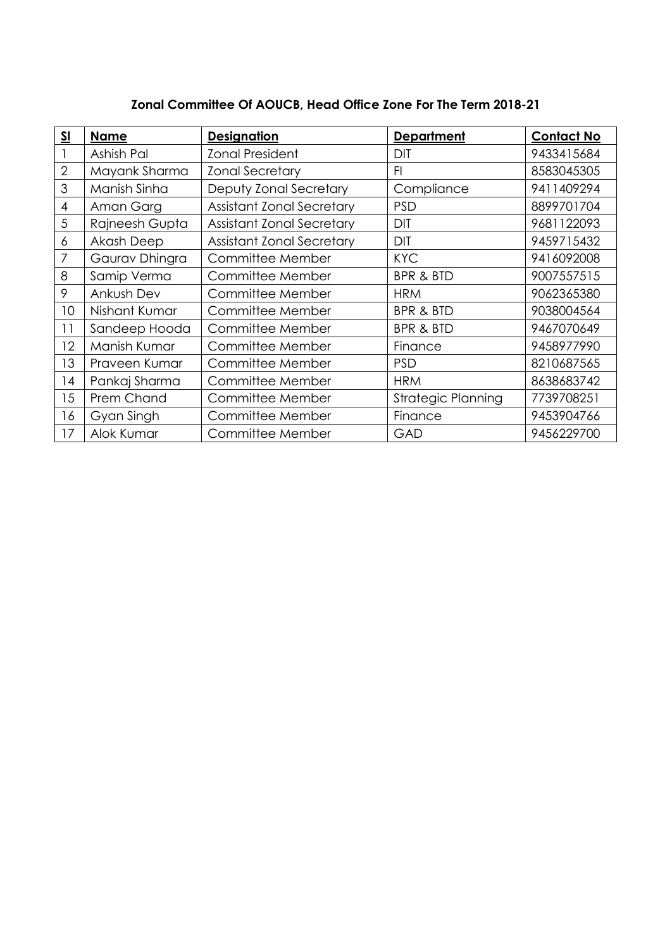| <b>SI</b>      | <b>Name</b>       | <b>Designation</b>               | <b>Department</b>         | <b>Contact No</b> |
|----------------|-------------------|----------------------------------|---------------------------|-------------------|
|                | Ashish Pal        | <b>Zonal President</b>           | <b>DIT</b>                | 9433415684        |
| $\overline{2}$ | Mayank Sharma     | <b>Zonal Secretary</b>           | F1                        | 8583045305        |
| 3              | Manish Sinha      | Deputy Zonal Secretary           | Compliance                | 9411409294        |
| 4              | Aman Garg         | <b>Assistant Zonal Secretary</b> | <b>PSD</b>                | 8899701704        |
| 5              | Rajneesh Gupta    | <b>Assistant Zonal Secretary</b> | <b>DIT</b>                | 9681122093        |
| 6              | <b>Akash Deep</b> | <b>Assistant Zonal Secretary</b> | <b>DIT</b>                | 9459715432        |
| 7              | Gaurav Dhingra    | Committee Member                 | <b>KYC</b>                | 9416092008        |
| 8              | Samip Verma       | Committee Member                 | <b>BPR &amp; BTD</b>      | 9007557515        |
| 9              | Ankush Dev        | Committee Member                 | <b>HRM</b>                | 9062365380        |
| 10             | Nishant Kumar     | Committee Member                 | <b>BPR &amp; BTD</b>      | 9038004564        |
| 11             | Sandeep Hooda     | Committee Member                 | <b>BPR &amp; BTD</b>      | 9467070649        |
| 12             | Manish Kumar      | Committee Member                 | Finance                   | 9458977990        |
| 13             | Praveen Kumar     | Committee Member                 | <b>PSD</b>                | 8210687565        |
| 14             | Pankaj Sharma     | Committee Member                 | <b>HRM</b>                | 8638683742        |
| 15             | Prem Chand        | Committee Member                 | <b>Strategic Planning</b> | 7739708251        |
| 16             | Gyan Singh        | Committee Member                 | Finance                   | 9453904766        |
| 17             | Alok Kumar        | Committee Member                 | GAD                       | 9456229700        |

# **Zonal Committee Of AOUCB, Head Office Zone For The Term 2018-21**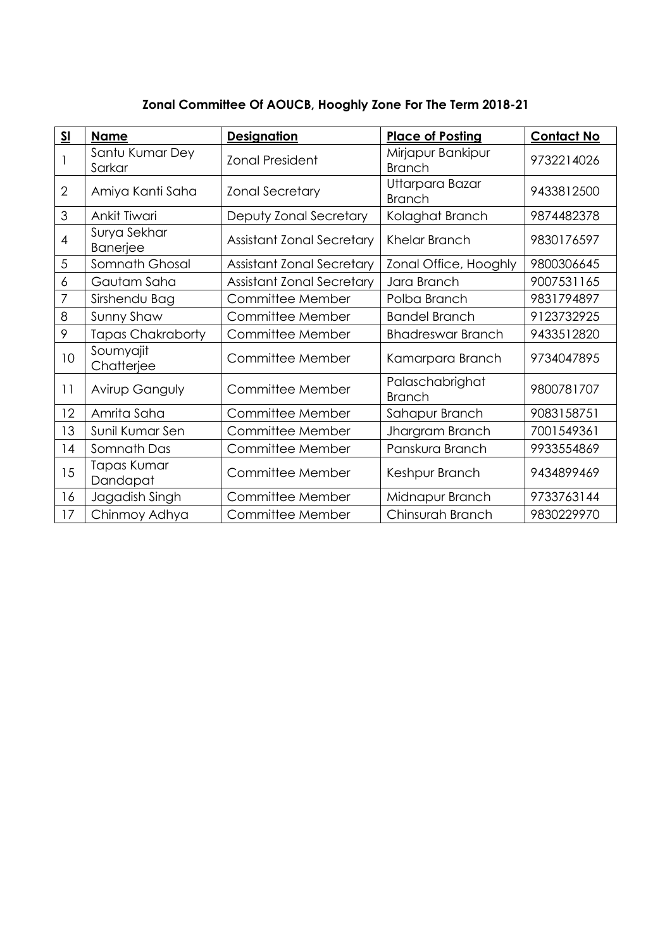| $\underline{\mathsf{SL}}$ | <b>Name</b>                     | <b>Designation</b>               | <b>Place of Posting</b>            | <b>Contact No</b> |
|---------------------------|---------------------------------|----------------------------------|------------------------------------|-------------------|
|                           | Santu Kumar Dey<br>Sarkar       | <b>Zonal President</b>           | Mirjapur Bankipur<br><b>Branch</b> | 9732214026        |
| $\overline{2}$            | Amiya Kanti Saha                | <b>Zonal Secretary</b>           | Uttarpara Bazar<br><b>Branch</b>   | 9433812500        |
| 3                         | Ankit Tiwari                    | Deputy Zonal Secretary           | Kolaghat Branch                    | 9874482378        |
| 4                         | Surya Sekhar<br><b>Banerjee</b> | <b>Assistant Zonal Secretary</b> | Khelar Branch                      | 9830176597        |
| 5                         | Somnath Ghosal                  | <b>Assistant Zonal Secretary</b> | Zonal Office, Hooghly              | 9800306645        |
| 6                         | Gautam Saha                     | <b>Assistant Zonal Secretary</b> | Jara Branch                        | 9007531165        |
| 7                         | Sirshendu Bag                   | Committee Member                 | Polba Branch                       | 9831794897        |
| 8                         | Sunny Shaw                      | Committee Member                 | <b>Bandel Branch</b>               | 9123732925        |
| 9                         | <b>Tapas Chakraborty</b>        | Committee Member                 | <b>Bhadreswar Branch</b>           | 9433512820        |
| 10                        | Soumyajit<br>Chatterjee         | Committee Member                 | Kamarpara Branch                   | 9734047895        |
| 11                        | Avirup Ganguly                  | Committee Member                 | Palaschabrighat<br><b>Branch</b>   | 9800781707        |
| 12                        | Amrita Saha                     | Committee Member                 | Sahapur Branch                     | 9083158751        |
| 13                        | Sunil Kumar Sen                 | Committee Member                 | Jhargram Branch                    | 7001549361        |
| 4                         | Somnath Das                     | Committee Member                 | Panskura Branch                    | 9933554869        |
| 15                        | Tapas Kumar<br>Dandapat         | Committee Member                 | Keshpur Branch                     | 9434899469        |
| 16                        | Jagadish Singh                  | Committee Member                 | Midnapur Branch                    | 9733763144        |
| 17                        | Chinmoy Adhya                   | Committee Member                 | Chinsurah Branch                   | 9830229970        |

# **Zonal Committee Of AOUCB, Hooghly Zone For The Term 2018-21**